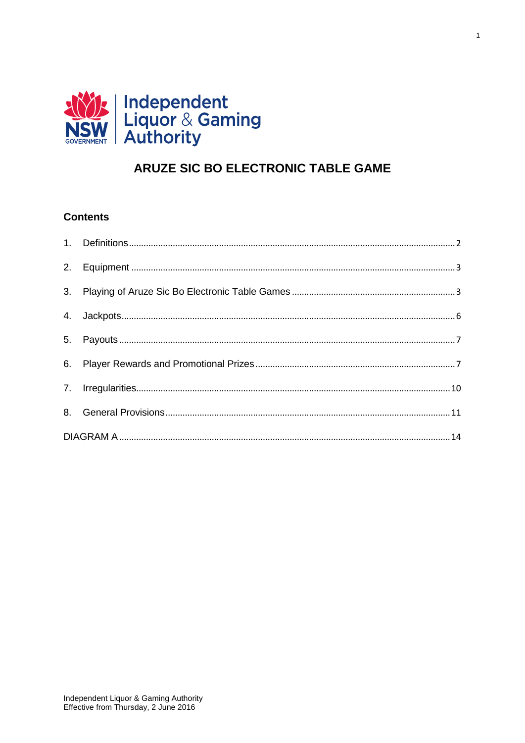

# ARUZE SIC BO ELECTRONIC TABLE GAME

 $\overline{1}$ 

# **Contents**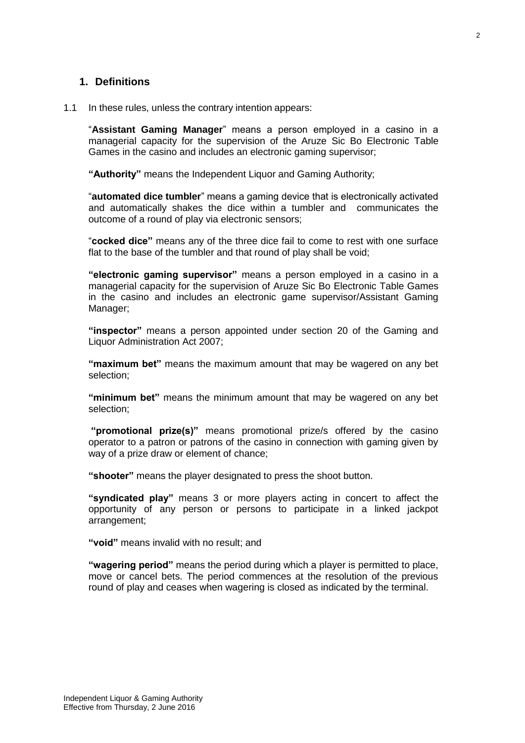#### <span id="page-1-0"></span>**1. Definitions**

#### 1.1 In these rules, unless the contrary intention appears:

"**Assistant Gaming Manager**" means a person employed in a casino in a managerial capacity for the supervision of the Aruze Sic Bo Electronic Table Games in the casino and includes an electronic gaming supervisor;

**"Authority"** means the Independent Liquor and Gaming Authority;

"**automated dice tumbler**" means a gaming device that is electronically activated and automatically shakes the dice within a tumbler and communicates the outcome of a round of play via electronic sensors;

"**cocked dice"** means any of the three dice fail to come to rest with one surface flat to the base of the tumbler and that round of play shall be void;

**"electronic gaming supervisor"** means a person employed in a casino in a managerial capacity for the supervision of Aruze Sic Bo Electronic Table Games in the casino and includes an electronic game supervisor/Assistant Gaming Manager;

**"inspector"** means a person appointed under section 20 of the Gaming and Liquor Administration Act 2007;

**"maximum bet"** means the maximum amount that may be wagered on any bet selection;

**"minimum bet"** means the minimum amount that may be wagered on any bet selection;

**"promotional prize(s)"** means promotional prize/s offered by the casino operator to a patron or patrons of the casino in connection with gaming given by way of a prize draw or element of chance;

**"shooter"** means the player designated to press the shoot button.

**"syndicated play"** means 3 or more players acting in concert to affect the opportunity of any person or persons to participate in a linked jackpot arrangement;

**"void"** means invalid with no result; and

**"wagering period"** means the period during which a player is permitted to place, move or cancel bets. The period commences at the resolution of the previous round of play and ceases when wagering is closed as indicated by the terminal.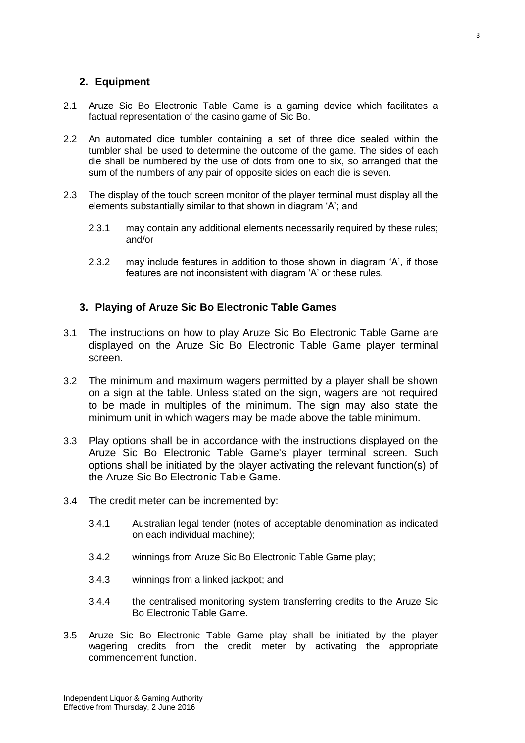### <span id="page-2-0"></span>**2. Equipment**

- 2.1 Aruze Sic Bo Electronic Table Game is a gaming device which facilitates a factual representation of the casino game of Sic Bo.
- 2.2 An automated dice tumbler containing a set of three dice sealed within the tumbler shall be used to determine the outcome of the game. The sides of each die shall be numbered by the use of dots from one to six, so arranged that the sum of the numbers of any pair of opposite sides on each die is seven.
- 2.3 The display of the touch screen monitor of the player terminal must display all the elements substantially similar to that shown in diagram 'A'; and
	- 2.3.1 may contain any additional elements necessarily required by these rules; and/or
	- 2.3.2 may include features in addition to those shown in diagram 'A', if those features are not inconsistent with diagram 'A' or these rules.

### <span id="page-2-1"></span>**3. Playing of Aruze Sic Bo Electronic Table Games**

- 3.1 The instructions on how to play Aruze Sic Bo Electronic Table Game are displayed on the Aruze Sic Bo Electronic Table Game player terminal screen.
- 3.2 The minimum and maximum wagers permitted by a player shall be shown on a sign at the table. Unless stated on the sign, wagers are not required to be made in multiples of the minimum. The sign may also state the minimum unit in which wagers may be made above the table minimum.
- 3.3 Play options shall be in accordance with the instructions displayed on the Aruze Sic Bo Electronic Table Game's player terminal screen. Such options shall be initiated by the player activating the relevant function(s) of the Aruze Sic Bo Electronic Table Game.
- 3.4 The credit meter can be incremented by:
	- 3.4.1 Australian legal tender (notes of acceptable denomination as indicated on each individual machine);
	- 3.4.2 winnings from Aruze Sic Bo Electronic Table Game play;
	- 3.4.3 winnings from a linked jackpot; and
	- 3.4.4 the centralised monitoring system transferring credits to the Aruze Sic Bo Electronic Table Game.
- 3.5 Aruze Sic Bo Electronic Table Game play shall be initiated by the player wagering credits from the credit meter by activating the appropriate commencement function.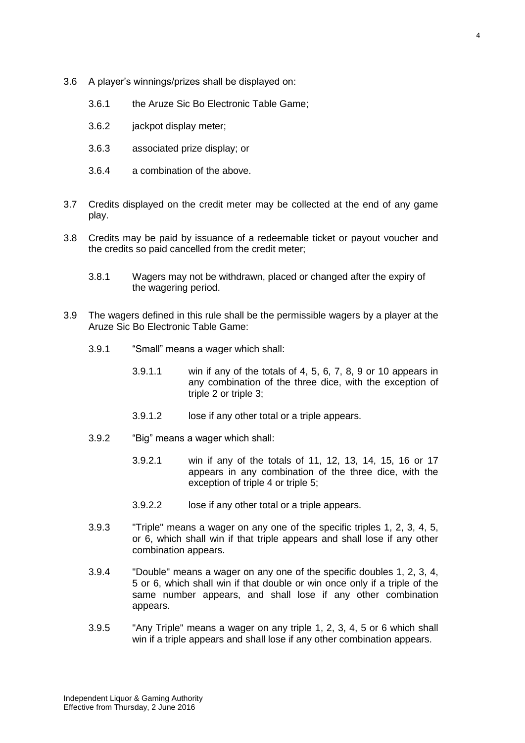- 3.6 A player's winnings/prizes shall be displayed on:
	- 3.6.1 the Aruze Sic Bo Electronic Table Game;
	- 3.6.2 jackpot display meter;
	- 3.6.3 associated prize display; or
	- 3.6.4 a combination of the above.
- 3.7 Credits displayed on the credit meter may be collected at the end of any game play.
- 3.8 Credits may be paid by issuance of a redeemable ticket or payout voucher and the credits so paid cancelled from the credit meter;
	- 3.8.1 Wagers may not be withdrawn, placed or changed after the expiry of the wagering period.
- 3.9 The wagers defined in this rule shall be the permissible wagers by a player at the Aruze Sic Bo Electronic Table Game:
	- 3.9.1 "Small" means a wager which shall:
		- 3.9.1.1 win if any of the totals of 4, 5, 6, 7, 8, 9 or 10 appears in any combination of the three dice, with the exception of triple 2 or triple 3;
		- 3.9.1.2 lose if any other total or a triple appears.
	- 3.9.2 "Big" means a wager which shall:
		- 3.9.2.1 win if any of the totals of 11, 12, 13, 14, 15, 16 or 17 appears in any combination of the three dice, with the exception of triple 4 or triple 5;
		- 3.9.2.2 lose if any other total or a triple appears.
	- 3.9.3 "Triple" means a wager on any one of the specific triples 1, 2, 3, 4, 5, or 6, which shall win if that triple appears and shall lose if any other combination appears.
	- 3.9.4 "Double" means a wager on any one of the specific doubles 1, 2, 3, 4, 5 or 6, which shall win if that double or win once only if a triple of the same number appears, and shall lose if any other combination appears.
	- 3.9.5 "Any Triple" means a wager on any triple 1, 2, 3, 4, 5 or 6 which shall win if a triple appears and shall lose if any other combination appears.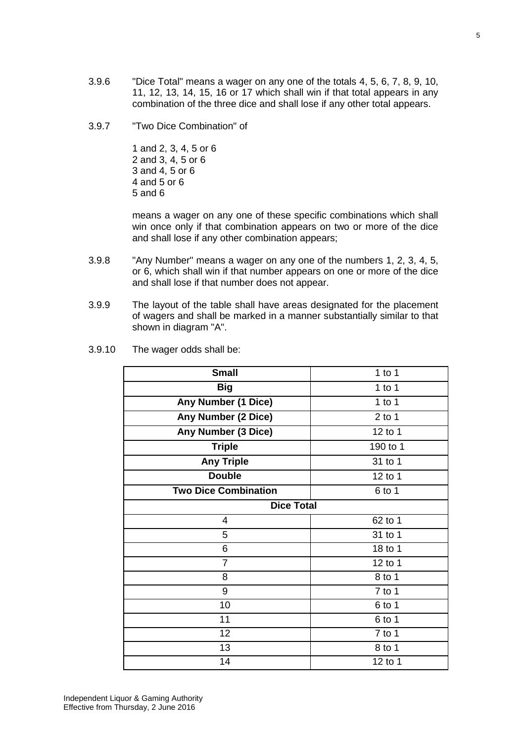- 3.9.6 "Dice Total" means a wager on any one of the totals 4, 5, 6, 7, 8, 9, 10, 11, 12, 13, 14, 15, 16 or 17 which shall win if that total appears in any combination of the three dice and shall lose if any other total appears.
- 3.9.7 "Two Dice Combination" of

1 and 2, 3, 4, 5 or 6 2 and 3, 4, 5 or 6 3 and 4, 5 or 6 4 and 5 or 6 5 and 6

means a wager on any one of these specific combinations which shall win once only if that combination appears on two or more of the dice and shall lose if any other combination appears;

- 3.9.8 "Any Number" means a wager on any one of the numbers 1, 2, 3, 4, 5, or 6, which shall win if that number appears on one or more of the dice and shall lose if that number does not appear.
- 3.9.9 The layout of the table shall have areas designated for the placement of wagers and shall be marked in a manner substantially similar to that shown in diagram "A".
- 3.9.10 The wager odds shall be:

| <b>Small</b>                | 1 to $1$ |  |  |
|-----------------------------|----------|--|--|
| <b>Big</b>                  | 1 to 1   |  |  |
| <b>Any Number (1 Dice)</b>  | 1 to 1   |  |  |
| Any Number (2 Dice)         | $2$ to 1 |  |  |
| Any Number (3 Dice)         | 12 to 1  |  |  |
| <b>Triple</b>               | 190 to 1 |  |  |
| <b>Any Triple</b>           | 31 to 1  |  |  |
| <b>Double</b>               | 12 to 1  |  |  |
| <b>Two Dice Combination</b> | $6$ to 1 |  |  |
| <b>Dice Total</b>           |          |  |  |
| 4                           | 62 to 1  |  |  |
| 5                           | 31 to 1  |  |  |
| 6                           | 18 to 1  |  |  |
| $\overline{7}$              | 12 to 1  |  |  |
| 8                           | 8 to 1   |  |  |
| 9                           | $7$ to 1 |  |  |
| 10                          | $6$ to 1 |  |  |
| 11                          | $6$ to 1 |  |  |
| 12                          | $7$ to 1 |  |  |
| 13                          | 8 to 1   |  |  |
| 14                          | 12 to 1  |  |  |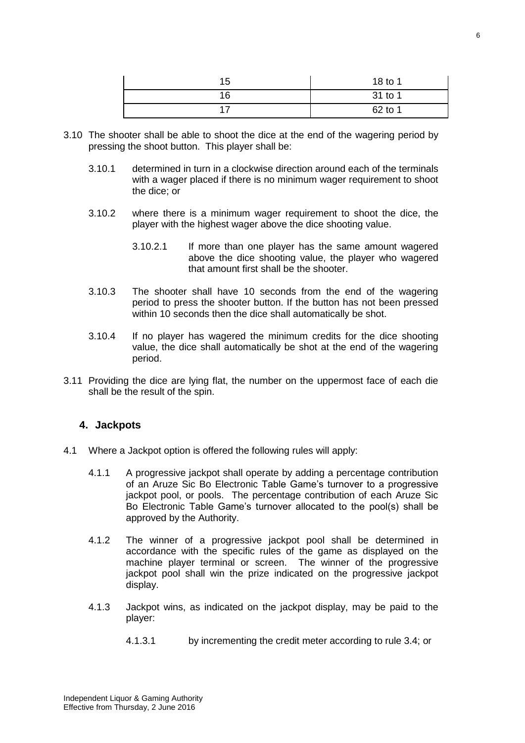| 15 | 18 to 1 |
|----|---------|
| 16 | 31 to 1 |
|    | 62 to 1 |

- 3.10 The shooter shall be able to shoot the dice at the end of the wagering period by pressing the shoot button. This player shall be:
	- 3.10.1 determined in turn in a clockwise direction around each of the terminals with a wager placed if there is no minimum wager requirement to shoot the dice; or
	- 3.10.2 where there is a minimum wager requirement to shoot the dice, the player with the highest wager above the dice shooting value.
		- 3.10.2.1 If more than one player has the same amount wagered above the dice shooting value, the player who wagered that amount first shall be the shooter.
	- 3.10.3 The shooter shall have 10 seconds from the end of the wagering period to press the shooter button. If the button has not been pressed within 10 seconds then the dice shall automatically be shot.
	- 3.10.4 If no player has wagered the minimum credits for the dice shooting value, the dice shall automatically be shot at the end of the wagering period.
- 3.11 Providing the dice are lying flat, the number on the uppermost face of each die shall be the result of the spin.

### <span id="page-5-0"></span>**4. Jackpots**

- 4.1 Where a Jackpot option is offered the following rules will apply:
	- 4.1.1 A progressive jackpot shall operate by adding a percentage contribution of an Aruze Sic Bo Electronic Table Game's turnover to a progressive jackpot pool, or pools. The percentage contribution of each Aruze Sic Bo Electronic Table Game's turnover allocated to the pool(s) shall be approved by the Authority.
	- 4.1.2 The winner of a progressive jackpot pool shall be determined in accordance with the specific rules of the game as displayed on the machine player terminal or screen. The winner of the progressive jackpot pool shall win the prize indicated on the progressive jackpot display.
	- 4.1.3 Jackpot wins, as indicated on the jackpot display, may be paid to the player:
		- 4.1.3.1 by incrementing the credit meter according to rule 3.4; or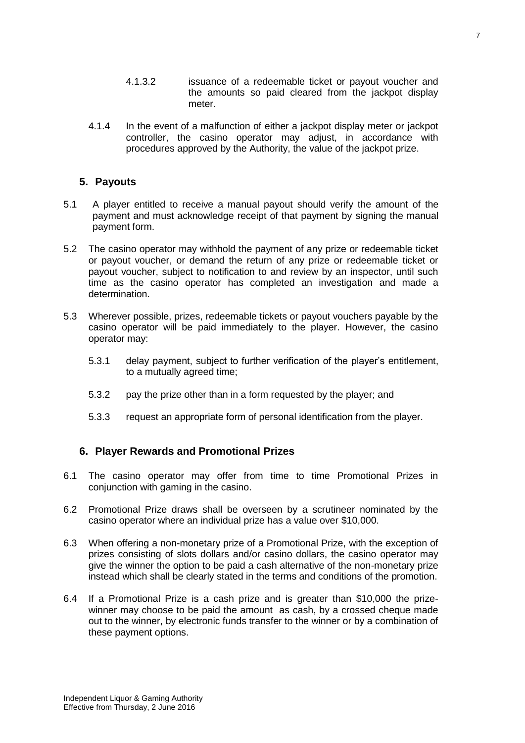4.1.4 In the event of a malfunction of either a jackpot display meter or jackpot controller, the casino operator may adjust, in accordance with procedures approved by the Authority, the value of the jackpot prize.

## <span id="page-6-0"></span>**5. Payouts**

- 5.1 A player entitled to receive a manual payout should verify the amount of the payment and must acknowledge receipt of that payment by signing the manual payment form.
- 5.2 The casino operator may withhold the payment of any prize or redeemable ticket or payout voucher, or demand the return of any prize or redeemable ticket or payout voucher, subject to notification to and review by an inspector, until such time as the casino operator has completed an investigation and made a determination.
- 5.3 Wherever possible, prizes, redeemable tickets or payout vouchers payable by the casino operator will be paid immediately to the player. However, the casino operator may:
	- 5.3.1 delay payment, subject to further verification of the player's entitlement, to a mutually agreed time;
	- 5.3.2 pay the prize other than in a form requested by the player; and
	- 5.3.3 request an appropriate form of personal identification from the player.

# <span id="page-6-1"></span>**6. Player Rewards and Promotional Prizes**

- 6.1 The casino operator may offer from time to time Promotional Prizes in conjunction with gaming in the casino.
- 6.2 Promotional Prize draws shall be overseen by a scrutineer nominated by the casino operator where an individual prize has a value over \$10,000.
- 6.3 When offering a non-monetary prize of a Promotional Prize, with the exception of prizes consisting of slots dollars and/or casino dollars, the casino operator may give the winner the option to be paid a cash alternative of the non-monetary prize instead which shall be clearly stated in the terms and conditions of the promotion.
- 6.4 If a Promotional Prize is a cash prize and is greater than \$10,000 the prizewinner may choose to be paid the amount as cash, by a crossed cheque made out to the winner, by electronic funds transfer to the winner or by a combination of these payment options.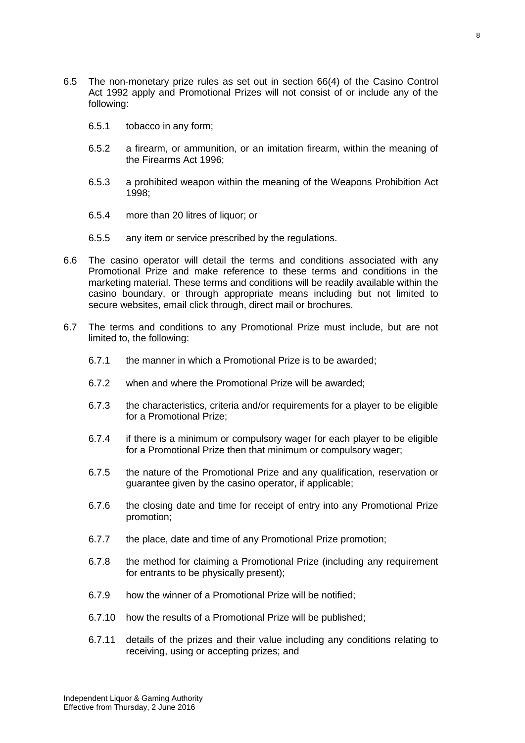- 6.5 The non-monetary prize rules as set out in section 66(4) of the Casino Control Act 1992 apply and Promotional Prizes will not consist of or include any of the following:
	- 6.5.1 tobacco in any form;
	- 6.5.2 a firearm, or ammunition, or an imitation firearm, within the meaning of the Firearms Act 1996;
	- 6.5.3 a prohibited weapon within the meaning of the Weapons Prohibition Act 1998;
	- 6.5.4 more than 20 litres of liquor; or
	- 6.5.5 any item or service prescribed by the regulations.
- 6.6 The casino operator will detail the terms and conditions associated with any Promotional Prize and make reference to these terms and conditions in the marketing material. These terms and conditions will be readily available within the casino boundary, or through appropriate means including but not limited to secure websites, email click through, direct mail or brochures.
- 6.7 The terms and conditions to any Promotional Prize must include, but are not limited to, the following:
	- 6.7.1 the manner in which a Promotional Prize is to be awarded;
	- 6.7.2 when and where the Promotional Prize will be awarded;
	- 6.7.3 the characteristics, criteria and/or requirements for a player to be eligible for a Promotional Prize;
	- 6.7.4 if there is a minimum or compulsory wager for each player to be eligible for a Promotional Prize then that minimum or compulsory wager;
	- 6.7.5 the nature of the Promotional Prize and any qualification, reservation or guarantee given by the casino operator, if applicable;
	- 6.7.6 the closing date and time for receipt of entry into any Promotional Prize promotion;
	- 6.7.7 the place, date and time of any Promotional Prize promotion;
	- 6.7.8 the method for claiming a Promotional Prize (including any requirement for entrants to be physically present);
	- 6.7.9 how the winner of a Promotional Prize will be notified;
	- 6.7.10 how the results of a Promotional Prize will be published;
	- 6.7.11 details of the prizes and their value including any conditions relating to receiving, using or accepting prizes; and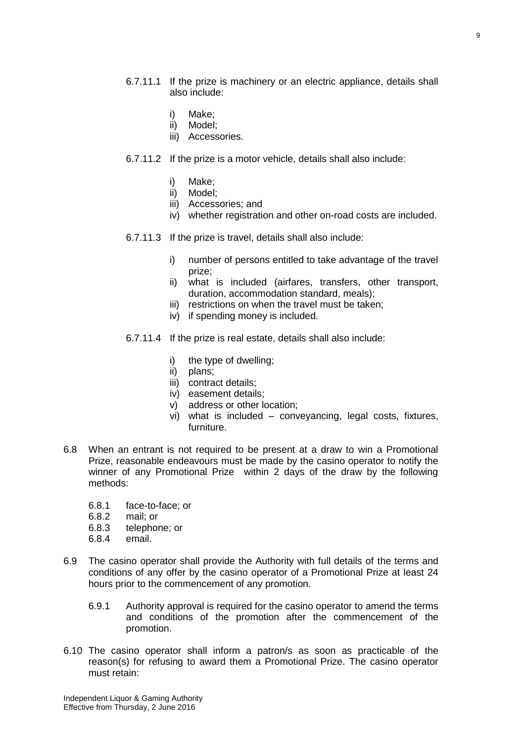- 6.7.11.1 If the prize is machinery or an electric appliance, details shall also include:
	- i) Make;
	- ii) Model;
	- iii) Accessories.
- 6.7.11.2 If the prize is a motor vehicle, details shall also include:
	- i) Make;
	- ii) Model;
	- iii) Accessories; and
	- iv) whether registration and other on-road costs are included.
- 6.7.11.3 If the prize is travel, details shall also include:
	- i) number of persons entitled to take advantage of the travel prize;
	- ii) what is included (airfares, transfers, other transport, duration, accommodation standard, meals);
	- iii) restrictions on when the travel must be taken:
	- iv) if spending money is included.
- 6.7.11.4 If the prize is real estate, details shall also include:
	- i) the type of dwelling;
	- ii) plans;
	- iii) contract details;
	- iv) easement details;
	- v) address or other location;
	- vi) what is included conveyancing, legal costs, fixtures, furniture.
- 6.8 When an entrant is not required to be present at a draw to win a Promotional Prize, reasonable endeavours must be made by the casino operator to notify the winner of any Promotional Prize within 2 days of the draw by the following methods:
	- 6.8.1 face-to-face; or
	- 6.8.2 mail; or
	- 6.8.3 telephone; or
	- 6.8.4 email.
- 6.9 The casino operator shall provide the Authority with full details of the terms and conditions of any offer by the casino operator of a Promotional Prize at least 24 hours prior to the commencement of any promotion.
	- 6.9.1 Authority approval is required for the casino operator to amend the terms and conditions of the promotion after the commencement of the promotion.
- 6.10 The casino operator shall inform a patron/s as soon as practicable of the reason(s) for refusing to award them a Promotional Prize. The casino operator must retain: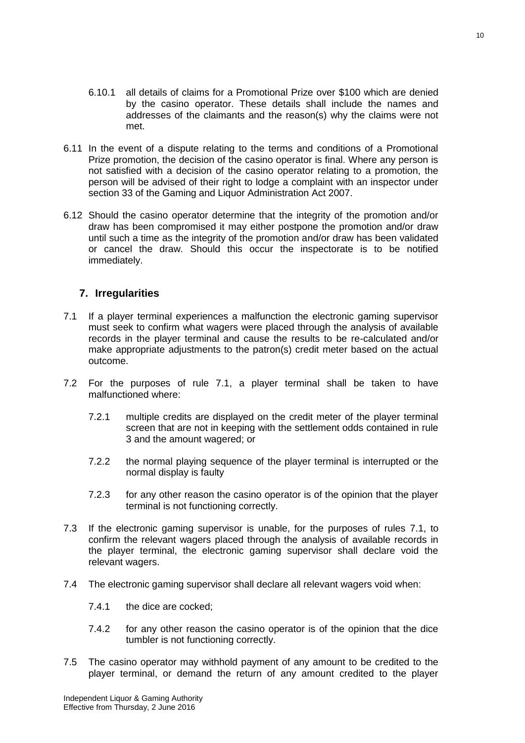- 6.10.1 all details of claims for a Promotional Prize over \$100 which are denied by the casino operator. These details shall include the names and addresses of the claimants and the reason(s) why the claims were not met.
- 6.11 In the event of a dispute relating to the terms and conditions of a Promotional Prize promotion, the decision of the casino operator is final. Where any person is not satisfied with a decision of the casino operator relating to a promotion, the person will be advised of their right to lodge a complaint with an inspector under section 33 of the Gaming and Liquor Administration Act 2007.
- 6.12 Should the casino operator determine that the integrity of the promotion and/or draw has been compromised it may either postpone the promotion and/or draw until such a time as the integrity of the promotion and/or draw has been validated or cancel the draw. Should this occur the inspectorate is to be notified immediately.

### <span id="page-9-0"></span>**7. Irregularities**

- 7.1 If a player terminal experiences a malfunction the electronic gaming supervisor must seek to confirm what wagers were placed through the analysis of available records in the player terminal and cause the results to be re-calculated and/or make appropriate adjustments to the patron(s) credit meter based on the actual outcome.
- 7.2 For the purposes of rule 7.1, a player terminal shall be taken to have malfunctioned where:
	- 7.2.1 multiple credits are displayed on the credit meter of the player terminal screen that are not in keeping with the settlement odds contained in rule 3 and the amount wagered; or
	- 7.2.2 the normal playing sequence of the player terminal is interrupted or the normal display is faulty
	- 7.2.3 for any other reason the casino operator is of the opinion that the player terminal is not functioning correctly.
- 7.3 If the electronic gaming supervisor is unable, for the purposes of rules 7.1, to confirm the relevant wagers placed through the analysis of available records in the player terminal, the electronic gaming supervisor shall declare void the relevant wagers.
- 7.4 The electronic gaming supervisor shall declare all relevant wagers void when:
	- 7.4.1 the dice are cocked;
	- 7.4.2 for any other reason the casino operator is of the opinion that the dice tumbler is not functioning correctly.
- 7.5 The casino operator may withhold payment of any amount to be credited to the player terminal, or demand the return of any amount credited to the player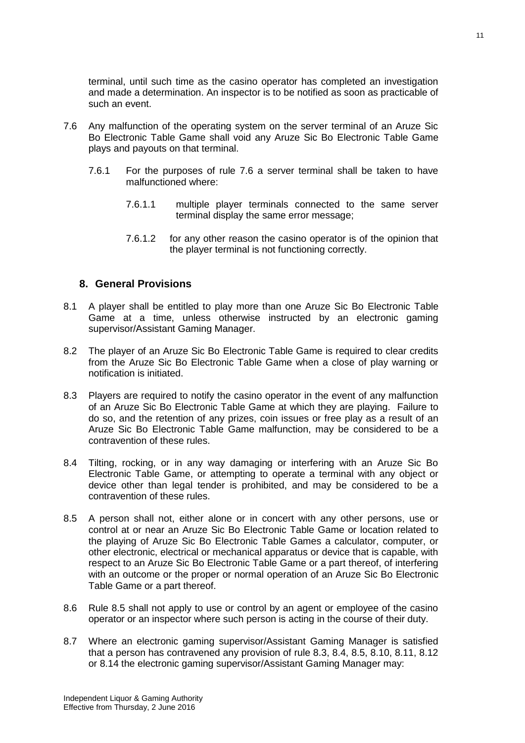terminal, until such time as the casino operator has completed an investigation and made a determination. An inspector is to be notified as soon as practicable of such an event.

- 7.6 Any malfunction of the operating system on the server terminal of an Aruze Sic Bo Electronic Table Game shall void any Aruze Sic Bo Electronic Table Game plays and payouts on that terminal.
	- 7.6.1 For the purposes of rule 7.6 a server terminal shall be taken to have malfunctioned where:
		- 7.6.1.1 multiple player terminals connected to the same server terminal display the same error message;
		- 7.6.1.2 for any other reason the casino operator is of the opinion that the player terminal is not functioning correctly.

#### <span id="page-10-0"></span>**8. General Provisions**

- 8.1 A player shall be entitled to play more than one Aruze Sic Bo Electronic Table Game at a time, unless otherwise instructed by an electronic gaming supervisor/Assistant Gaming Manager.
- 8.2 The player of an Aruze Sic Bo Electronic Table Game is required to clear credits from the Aruze Sic Bo Electronic Table Game when a close of play warning or notification is initiated.
- 8.3 Players are required to notify the casino operator in the event of any malfunction of an Aruze Sic Bo Electronic Table Game at which they are playing. Failure to do so, and the retention of any prizes, coin issues or free play as a result of an Aruze Sic Bo Electronic Table Game malfunction, may be considered to be a contravention of these rules.
- 8.4 Tilting, rocking, or in any way damaging or interfering with an Aruze Sic Bo Electronic Table Game, or attempting to operate a terminal with any object or device other than legal tender is prohibited, and may be considered to be a contravention of these rules.
- 8.5 A person shall not, either alone or in concert with any other persons, use or control at or near an Aruze Sic Bo Electronic Table Game or location related to the playing of Aruze Sic Bo Electronic Table Games a calculator, computer, or other electronic, electrical or mechanical apparatus or device that is capable, with respect to an Aruze Sic Bo Electronic Table Game or a part thereof, of interfering with an outcome or the proper or normal operation of an Aruze Sic Bo Electronic Table Game or a part thereof.
- 8.6 Rule 8.5 shall not apply to use or control by an agent or employee of the casino operator or an inspector where such person is acting in the course of their duty.
- 8.7 Where an electronic gaming supervisor/Assistant Gaming Manager is satisfied that a person has contravened any provision of rule 8.3, 8.4, 8.5, 8.10, 8.11, 8.12 or 8.14 the electronic gaming supervisor/Assistant Gaming Manager may: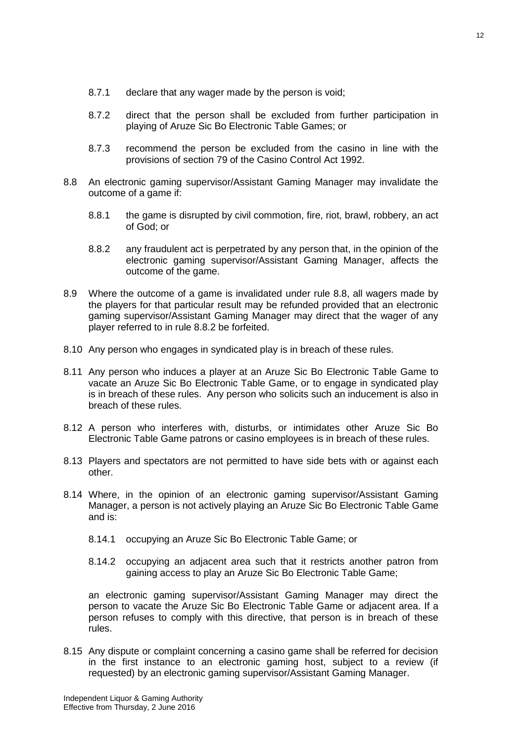- 8.7.1 declare that any wager made by the person is void;
- 8.7.2 direct that the person shall be excluded from further participation in playing of Aruze Sic Bo Electronic Table Games; or
- 8.7.3 recommend the person be excluded from the casino in line with the provisions of section 79 of the Casino Control Act 1992.
- 8.8 An electronic gaming supervisor/Assistant Gaming Manager may invalidate the outcome of a game if:
	- 8.8.1 the game is disrupted by civil commotion, fire, riot, brawl, robbery, an act of God; or
	- 8.8.2 any fraudulent act is perpetrated by any person that, in the opinion of the electronic gaming supervisor/Assistant Gaming Manager, affects the outcome of the game.
- 8.9 Where the outcome of a game is invalidated under rule 8.8, all wagers made by the players for that particular result may be refunded provided that an electronic gaming supervisor/Assistant Gaming Manager may direct that the wager of any player referred to in rule 8.8.2 be forfeited.
- 8.10 Any person who engages in syndicated play is in breach of these rules.
- 8.11 Any person who induces a player at an Aruze Sic Bo Electronic Table Game to vacate an Aruze Sic Bo Electronic Table Game, or to engage in syndicated play is in breach of these rules. Any person who solicits such an inducement is also in breach of these rules.
- 8.12 A person who interferes with, disturbs, or intimidates other Aruze Sic Bo Electronic Table Game patrons or casino employees is in breach of these rules.
- 8.13 Players and spectators are not permitted to have side bets with or against each other.
- 8.14 Where, in the opinion of an electronic gaming supervisor/Assistant Gaming Manager, a person is not actively playing an Aruze Sic Bo Electronic Table Game and is:
	- 8.14.1 occupying an Aruze Sic Bo Electronic Table Game; or
	- 8.14.2 occupying an adjacent area such that it restricts another patron from gaining access to play an Aruze Sic Bo Electronic Table Game;

an electronic gaming supervisor/Assistant Gaming Manager may direct the person to vacate the Aruze Sic Bo Electronic Table Game or adjacent area. If a person refuses to comply with this directive, that person is in breach of these rules.

8.15 Any dispute or complaint concerning a casino game shall be referred for decision in the first instance to an electronic gaming host, subject to a review (if requested) by an electronic gaming supervisor/Assistant Gaming Manager.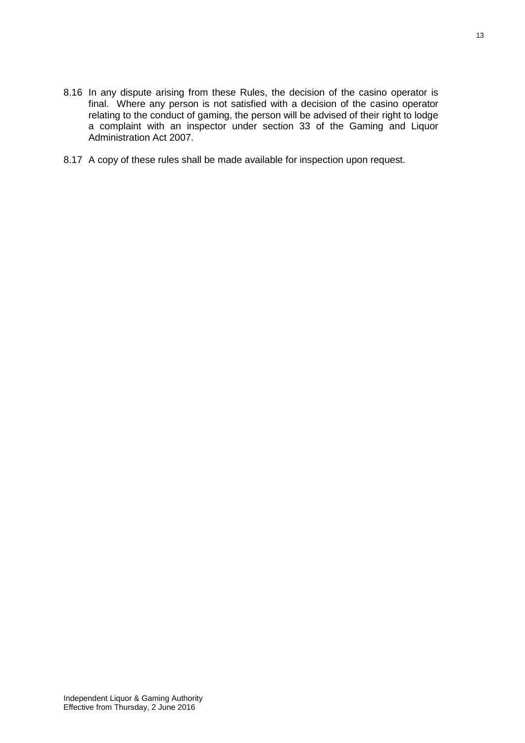- 8.16 In any dispute arising from these Rules, the decision of the casino operator is final. Where any person is not satisfied with a decision of the casino operator relating to the conduct of gaming, the person will be advised of their right to lodge a complaint with an inspector under section 33 of the Gaming and Liquor Administration Act 2007.
- 8.17 A copy of these rules shall be made available for inspection upon request.